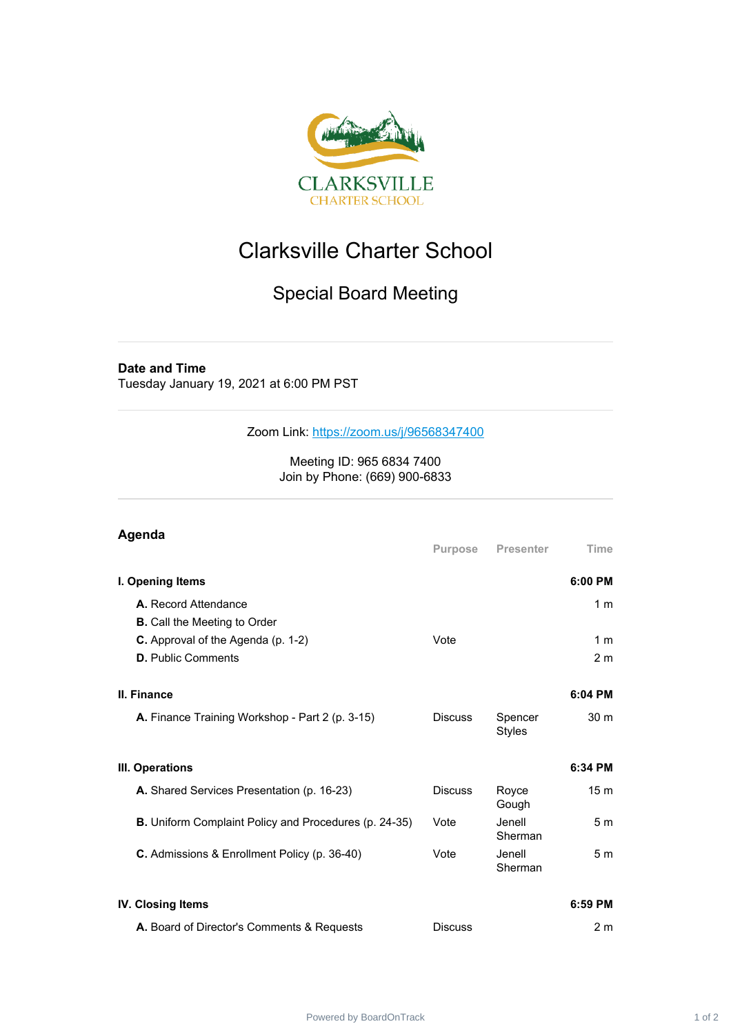

## Clarksville Charter School

## Special Board Meeting

## **Date and Time**

Tuesday January 19, 2021 at 6:00 PM PST

Zoom Link: <https://zoom.us/j/96568347400>

Meeting ID: 965 6834 7400 Join by Phone: (669) 900-6833

## **Agenda**

|                                                              | <b>Purpose</b> | <b>Presenter</b>         | Time            |
|--------------------------------------------------------------|----------------|--------------------------|-----------------|
| I. Opening Items                                             |                |                          | 6:00 PM         |
| A. Record Attendance                                         |                |                          | 1 <sub>m</sub>  |
| <b>B.</b> Call the Meeting to Order                          |                |                          |                 |
| C. Approval of the Agenda (p. 1-2)                           | Vote           |                          | 1 <sub>m</sub>  |
| <b>D.</b> Public Comments                                    |                |                          | 2 <sub>m</sub>  |
|                                                              |                |                          |                 |
| II. Finance                                                  |                |                          | 6:04 PM         |
| A. Finance Training Workshop - Part 2 (p. 3-15)              | <b>Discuss</b> | Spencer<br><b>Styles</b> | 30 <sub>m</sub> |
| III. Operations                                              |                |                          | 6:34 PM         |
| A. Shared Services Presentation (p. 16-23)                   | <b>Discuss</b> | Royce<br>Gough           | 15 <sub>m</sub> |
| <b>B.</b> Uniform Complaint Policy and Procedures (p. 24-35) | Vote           | Jenell<br>Sherman        | 5 <sub>m</sub>  |
| C. Admissions & Enrollment Policy (p. 36-40)                 | Vote           | Jenell<br>Sherman        | 5 <sub>m</sub>  |
| <b>IV. Closing Items</b>                                     |                |                          | 6:59 PM         |
| A. Board of Director's Comments & Requests                   | <b>Discuss</b> |                          | 2 <sub>m</sub>  |